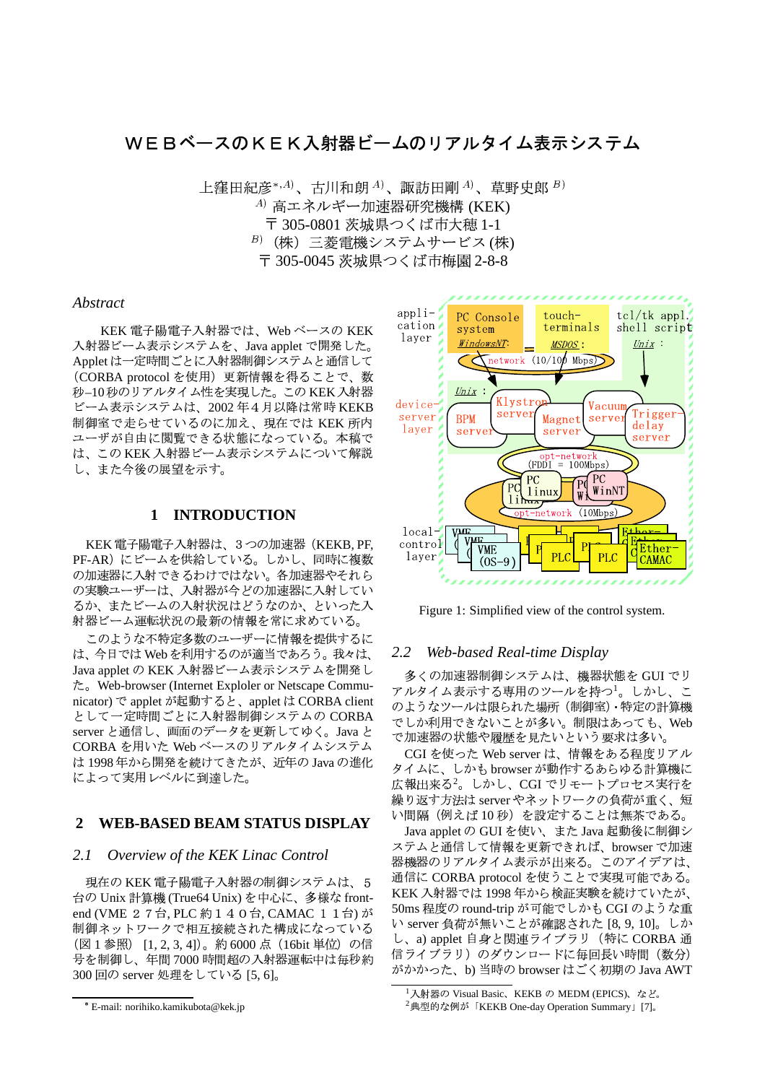# WEBベースのKEK入射器ビームのリアルタイム表示システム

上窪田紀彦\*, $^{A}$ )、古川和朗 $^{A}$ )、諏訪田剛 $^{A}$ )、草野史郎 $^{B}$ )  $A$ ) 高エネルギー加速器研究機構 (KEK) 〒 305-0801 茨城県つくば市大穂 1-1  $B$ ) (株) 三菱電機システムサービス(株) 〒 305-0045 茨城県つくば市梅園 2-8-8

### **Abstract**

KEK 電子陽電子入射器では、Web ベースの KEK 入射器ビーム表示システムを、Java applet で開発した。 Applet は一定時間ごとに入射器制御システムと通信して (CORBA protocol を使用)更新情報を得ることで、数 秒-10秒のリアルタイム性を実現した。この KEK 入射器 ビーム表示システムは、2002年4月以降は常時 KEKB 制御室で走らせているのに加え、現在では KEK 所内 ユーザが自由に閲覧できる状態になっている。本稿で は、このKEK入射器ビーム表示システムについて解説 し、また今後の展望を示す。

## 1 INTRODUCTION

KEK 電子陽電子入射器は、3つの加速器 (KEKB, PF, PF-AR)にビームを供給している。しかし、同時に複数 の加速器に入射できるわけではない。各加速器やそれら の実験ユーザーは、入射器が今どの加速器に入射してい るか、またビームの入射状況はどうなのか、といった入 射器ビーム運転状況の最新の情報を常に求めている。

このような不特定多数のユーザーに情報を提供するに は、今日では Web を利用するのが適当であろう。我々は、 Java applet の KEK 入射器ビーム表示システムを開発し た。Web-browser (Internet Exploler or Netscape Communicator) で applet が起動すると、applet は CORBA client として一定時間ごとに入射器制御システムの CORBA server と通信し、画面のデータを更新してゆく。Java と CORBA を用いた Web ベースのリアルタイムシステム は 1998年から開発を続けてきたが、近年の Java の進化 によって実用レベルに到達した。

#### $\overline{2}$ **WEB-BASED BEAM STATUS DISPLAY**

#### $2.1$ Overview of the KEK Linac Control

現在のKEK 電子陽電子入射器の制御システムは、5 台の Unix 計算機 (True64 Unix) を中心に、多様な frontend (VME 2 7台, PLC 約 1 4 0台, CAMAC 1 1台) が 制御ネットワークで相互接続された構成になっている (図1参照) [1, 2, 3, 4])。約6000点 (16bit 単位) の信 号を制御し、年間7000時間超の入射器運転中は毎秒約 300回の server 処理をしている [5, 6]。



Figure 1: Simplified view of the control system.

#### 2.2 Web-based Real-time Display

多くの加速器制御システムは、機器状態を GUI でリ アルタイム表示する専用のツールを持つ<sup>1</sup>。しかし、こ のようなツールは限られた場所 (制御室)・特定の計算機 でしか利用できないことが多い。制限はあっても、Web で加速器の状態や履歴を見たいという要求は多い。

CGI を使った Web server は、情報をある程度リアル タイムに、しかも browser が動作するあらゆる計算機に 広報出来る<sup>2</sup>。しかし、CGI でリモートプロセス実行を 繰り返す方法は server やネットワークの負荷が重く、短 い間隔 (例えば10秒) を設定することは無茶である。

Java applet の GUI を使い、また Java 起動後に制御シ ステムと通信して情報を更新できれば、browser で加速 器機器のリアルタイム表示が出来る。このアイデアは、 通信に CORBA protocol を使うことで実現可能である。 KEK 入射器では 1998年から検証実験を続けていたが、 50ms 程度の round-trip が可能でしかも CGI のような重 い server 負荷が無いことが確認された [8, 9, 10]。しか し、a) applet 自身と関連ライブラリ (特に CORBA 通 信ライブラリ)のダウンロードに毎回長い時間 (数分) がかかった、b)当時の browser はごく初期の Java AWT

<sup>\*</sup> E-mail: norihiko.kamikubota@kek.jp

<sup>&</sup>lt;sup>1</sup>入射器の Visual Basic、KEKB の MEDM (EPICS)、など。

<sup>&</sup>lt;sup>2</sup>典型的な例が「KEKB One-day Operation Summary」[7]。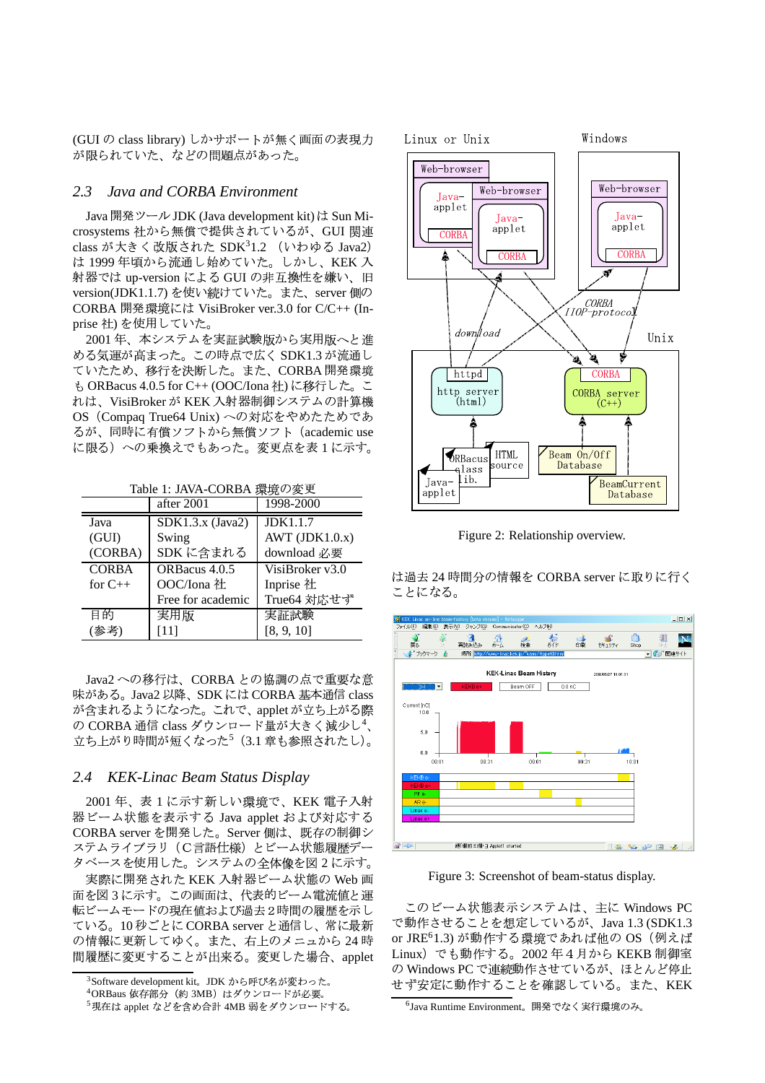(GUI の class library) しかサポートが無く画面の表現力 が限られていた、などの問題点があった。

#### Java and CORBA Environment  $2.3$

Java 開発ツール JDK (Java development kit) は Sun Microsystems 社から無償で提供されているが、GUI 関連 class が大きく改版された SDK31.2 (いわゆる Java2) は 1999年頃から流通し始めていた。しかし、KEK 入 射器では up-version による GUI の非互換性を嫌い、旧 version(JDK1.1.7)を使い続けていた。また、server 側の CORBA 開発環境には VisiBroker ver.3.0 for C/C++ (Inprise 社) を使用していた。

2001年、本システムを実証試験版から実用版へと進 める気運が高まった。この時点で広く SDK1.3 が流通し ていたため、移行を決断した。また、CORBA 開発環境 も ORBacus 4.0.5 for C++ (OOC/Iona 社)に移行した。こ れは、VisiBroker が KEK 入射器制御システムの計算機 OS (Compaq True64 Unix)への対応をやめたためであ るが、同時に有償ソフトから無償ソフト (academic use に限る)への乗換えでもあった。変更点を表1に示す。

Table 1: JAVA-CORBA 環境の変更

|              | after 2001         | 1998-2000        |
|--------------|--------------------|------------------|
| Java         | $SDK1.3.x$ (Java2) | <b>JDK1.1.7</b>  |
| (GUI)        | Swing              | AWT $(JDK1.0.x)$ |
| (CORBA)      | SDK に含まれる          | download 必要      |
| <b>CORBA</b> | ORBacus 4.0.5      | VisiBroker v3.0  |
| for $C_{++}$ | OOC/Iona 社         | Inprise 社        |
|              | Free for academic  | True64 対応せず      |
| 目的           | 実用版                | 実証試験             |
|              | [11]               | [8, 9, 10]       |

Java2への移行は、CORBAとの協調の点で重要な意 味がある。Java2 以降、SDK には CORBA 基本通信 class が含まれるようになった。これで、applet が立ち上がる際 の CORBA 通信 class ダウンロード量が大きく減少し<sup>4</sup>、 立ち上がり時間が短くなった5 (3.1 章も参照されたし)。

#### 2.4 KEK-Linac Beam Status Display

2001年、表1に示す新しい環境で、KEK 電子入射 器ビーム状態を表示する Java applet および対応する CORBA server を開発した。Server 側は、既存の制御シ ステムライブラリ (C言語仕様) とビーム状態履歴デー タベースを使用した。システムの全体像を図2に示す。

実際に開発された KEK 入射器ビーム状態の Web 画 面を図3に示す。この画面は、代表的ビーム電流値と運 転ビームモードの現在値および過去2時間の履歴を示し ている。10秒ごとに CORBA server と通信し、常に最新 の情報に更新してゆく。また、右上のメニュから24時 間履歴に変更することが出来る。変更した場合、applet



Figure 2: Relationship overview.

は過去 24 時間分の情報を CORBA server に取りに行く ことになる。



Figure 3: Screenshot of beam-status display.

このビーム状態表示システムは、主に Windows PC で動作させることを想定しているが、Java 1.3 (SDK1.3 or JRE<sup>6</sup>1.3) が動作する環境であれば他の OS (例えば Linux) でも動作する。2002年4月から KEKB 制御室 の Windows PC で連続動作させているが、ほとんど停止 せず安定に動作することを確認している。また、KEK

<sup>&</sup>lt;sup>3</sup>Software development kit。JDK から呼び名が変わった。

<sup>&</sup>lt;sup>4</sup>ORBaus 依存部分 (約 3MB) はダウンロードが必要。

<sup>5</sup>現在は applet などを含め合計 4MB 弱をダウンロードする。

<sup>&</sup>lt;sup>6</sup>Java Runtime Environment。開発でなく実行環境のみ。